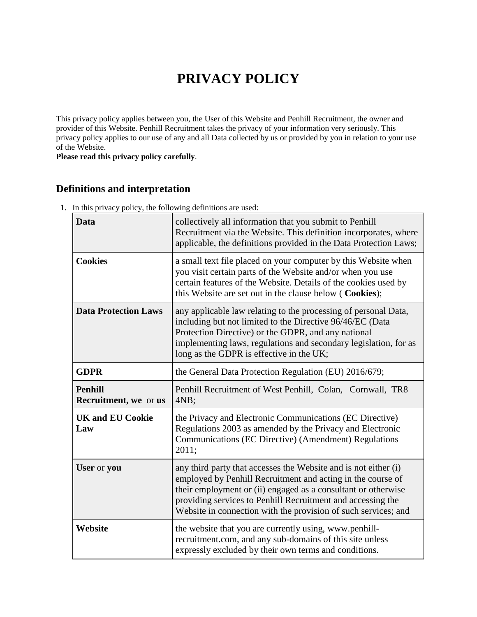# **PRIVACY POLICY**

This privacy policy applies between you, the User of this Website and Penhill Recruitment, the owner and provider of this Website. Penhill Recruitment takes the privacy of your information very seriously. This privacy policy applies to our use of any and all Data collected by us or provided by you in relation to your use of the Website.

**Please read this privacy policy carefully**.

## **Definitions and interpretation**

1. In this privacy policy, the following definitions are used:

| Data                                            | collectively all information that you submit to Penhill<br>Recruitment via the Website. This definition incorporates, where<br>applicable, the definitions provided in the Data Protection Laws;                                                                                                                                 |
|-------------------------------------------------|----------------------------------------------------------------------------------------------------------------------------------------------------------------------------------------------------------------------------------------------------------------------------------------------------------------------------------|
| <b>Cookies</b>                                  | a small text file placed on your computer by this Website when<br>you visit certain parts of the Website and/or when you use<br>certain features of the Website. Details of the cookies used by<br>this Website are set out in the clause below ( Cookies);                                                                      |
| <b>Data Protection Laws</b>                     | any applicable law relating to the processing of personal Data,<br>including but not limited to the Directive 96/46/EC (Data<br>Protection Directive) or the GDPR, and any national<br>implementing laws, regulations and secondary legislation, for as<br>long as the GDPR is effective in the UK;                              |
| <b>GDPR</b>                                     | the General Data Protection Regulation (EU) 2016/679;                                                                                                                                                                                                                                                                            |
| <b>Penhill</b><br><b>Recruitment</b> , we or us | Penhill Recruitment of West Penhill, Colan, Cornwall, TR8<br>4NB;                                                                                                                                                                                                                                                                |
| <b>UK and EU Cookie</b><br>Law                  | the Privacy and Electronic Communications (EC Directive)<br>Regulations 2003 as amended by the Privacy and Electronic<br>Communications (EC Directive) (Amendment) Regulations<br>2011;                                                                                                                                          |
| User or you                                     | any third party that accesses the Website and is not either (i)<br>employed by Penhill Recruitment and acting in the course of<br>their employment or (ii) engaged as a consultant or otherwise<br>providing services to Penhill Recruitment and accessing the<br>Website in connection with the provision of such services; and |
| Website                                         | the website that you are currently using, www.penhill-<br>recruitment.com, and any sub-domains of this site unless<br>expressly excluded by their own terms and conditions.                                                                                                                                                      |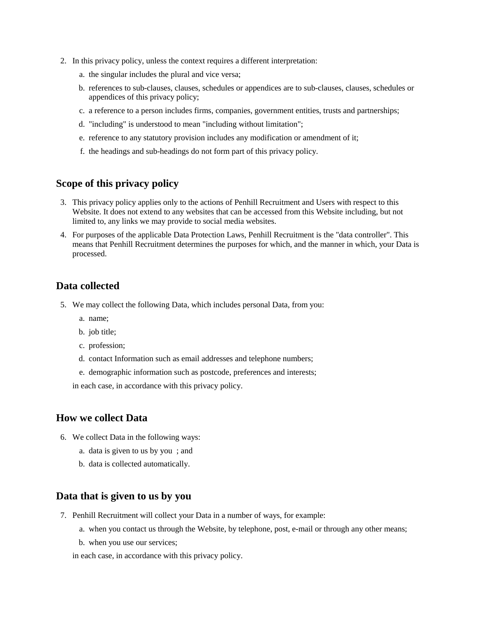- 2. In this privacy policy, unless the context requires a different interpretation:
	- a. the singular includes the plural and vice versa;
	- b. references to sub-clauses, clauses, schedules or appendices are to sub-clauses, clauses, schedules or appendices of this privacy policy;
	- c. a reference to a person includes firms, companies, government entities, trusts and partnerships;
	- d. "including" is understood to mean "including without limitation";
	- e. reference to any statutory provision includes any modification or amendment of it;
	- f. the headings and sub-headings do not form part of this privacy policy.

#### **Scope of this privacy policy**

- 3. This privacy policy applies only to the actions of Penhill Recruitment and Users with respect to this Website. It does not extend to any websites that can be accessed from this Website including, but not limited to, any links we may provide to social media websites.
- 4. For purposes of the applicable Data Protection Laws, Penhill Recruitment is the "data controller". This means that Penhill Recruitment determines the purposes for which, and the manner in which, your Data is processed.

#### **Data collected**

- 5. We may collect the following Data, which includes personal Data, from you:
	- a. name;
	- b. job title;
	- c. profession;
	- d. contact Information such as email addresses and telephone numbers;
	- e. demographic information such as postcode, preferences and interests;

in each case, in accordance with this privacy policy.

#### **How we collect Data**

- 6. We collect Data in the following ways:
	- a. data is given to us by you ; and
	- b. data is collected automatically.

#### **Data that is given to us by you**

- 7. Penhill Recruitment will collect your Data in a number of ways, for example:
	- a. when you contact us through the Website, by telephone, post, e-mail or through any other means;
	- b. when you use our services;

in each case, in accordance with this privacy policy.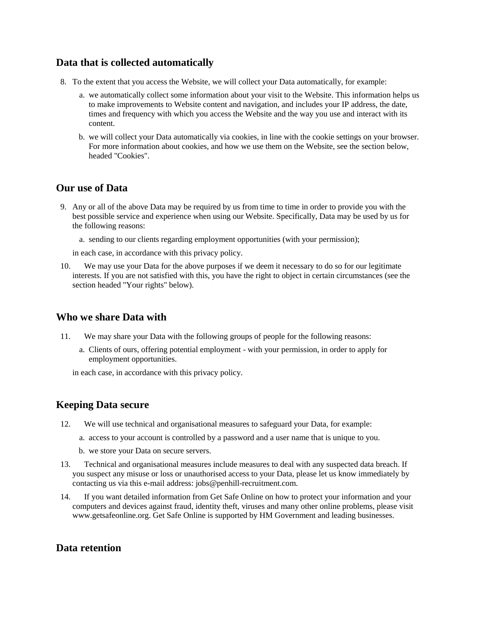#### **Data that is collected automatically**

- 8. To the extent that you access the Website, we will collect your Data automatically, for example:
	- a. we automatically collect some information about your visit to the Website. This information helps us to make improvements to Website content and navigation, and includes your IP address, the date, times and frequency with which you access the Website and the way you use and interact with its content.
	- b. we will collect your Data automatically via cookies, in line with the cookie settings on your browser. For more information about cookies, and how we use them on the Website, see the section below, headed "Cookies".

#### **Our use of Data**

9. Any or all of the above Data may be required by us from time to time in order to provide you with the best possible service and experience when using our Website. Specifically, Data may be used by us for the following reasons:

a. sending to our clients regarding employment opportunities (with your permission);

in each case, in accordance with this privacy policy.

10. We may use your Data for the above purposes if we deem it necessary to do so for our legitimate interests. If you are not satisfied with this, you have the right to object in certain circumstances (see the section headed "Your rights" below).

#### **Who we share Data with**

- 11. We may share your Data with the following groups of people for the following reasons:
	- a. Clients of ours, offering potential employment with your permission, in order to apply for employment opportunities.

in each case, in accordance with this privacy policy.

## **Keeping Data secure**

- 12. We will use technical and organisational measures to safeguard your Data, for example:
	- a. access to your account is controlled by a password and a user name that is unique to you.
	- b. we store your Data on secure servers.
- 13. Technical and organisational measures include measures to deal with any suspected data breach. If you suspect any misuse or loss or unauthorised access to your Data, please let us know immediately by contacting us via this e-mail address: jobs@penhill-recruitment.com.
- 14. If you want detailed information from Get Safe Online on how to protect your information and your computers and devices against fraud, identity theft, viruses and many other online problems, please visit www.getsafeonline.org. Get Safe Online is supported by HM Government and leading businesses.

## **Data retention**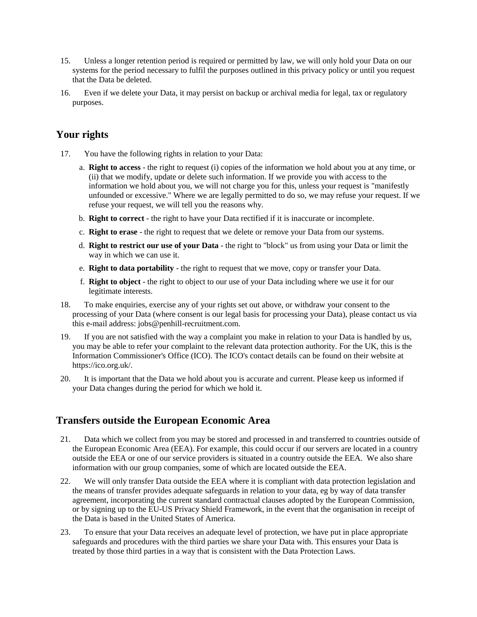- 15. Unless a longer retention period is required or permitted by law, we will only hold your Data on our systems for the period necessary to fulfil the purposes outlined in this privacy policy or until you request that the Data be deleted.
- 16. Even if we delete your Data, it may persist on backup or archival media for legal, tax or regulatory purposes.

## **Your rights**

- 17. You have the following rights in relation to your Data:
	- a. **Right to access** the right to request (i) copies of the information we hold about you at any time, or (ii) that we modify, update or delete such information. If we provide you with access to the information we hold about you, we will not charge you for this, unless your request is "manifestly unfounded or excessive." Where we are legally permitted to do so, we may refuse your request. If we refuse your request, we will tell you the reasons why.
	- b. **Right to correct** the right to have your Data rectified if it is inaccurate or incomplete.
	- c. **Right to erase** the right to request that we delete or remove your Data from our systems.
	- d. **Right to restrict our use of your Data** the right to "block" us from using your Data or limit the way in which we can use it.
	- e. **Right to data portability** the right to request that we move, copy or transfer your Data.
	- f. **Right to object** the right to object to our use of your Data including where we use it for our legitimate interests.
- 18. To make enquiries, exercise any of your rights set out above, or withdraw your consent to the processing of your Data (where consent is our legal basis for processing your Data), please contact us via this e-mail address: jobs@penhill-recruitment.com.
- 19. If you are not satisfied with the way a complaint you make in relation to your Data is handled by us, you may be able to refer your complaint to the relevant data protection authority. For the UK, this is the Information Commissioner's Office (ICO). The ICO's contact details can be found on their website at https://ico.org.uk/.
- 20. It is important that the Data we hold about you is accurate and current. Please keep us informed if your Data changes during the period for which we hold it.

## **Transfers outside the European Economic Area**

- 21. Data which we collect from you may be stored and processed in and transferred to countries outside of the European Economic Area (EEA). For example, this could occur if our servers are located in a country outside the EEA or one of our service providers is situated in a country outside the EEA. We also share information with our group companies, some of which are located outside the EEA.
- 22. We will only transfer Data outside the EEA where it is compliant with data protection legislation and the means of transfer provides adequate safeguards in relation to your data, eg by way of data transfer agreement, incorporating the current standard contractual clauses adopted by the European Commission, or by signing up to the EU-US Privacy Shield Framework, in the event that the organisation in receipt of the Data is based in the United States of America.
- 23. To ensure that your Data receives an adequate level of protection, we have put in place appropriate safeguards and procedures with the third parties we share your Data with. This ensures your Data is treated by those third parties in a way that is consistent with the Data Protection Laws.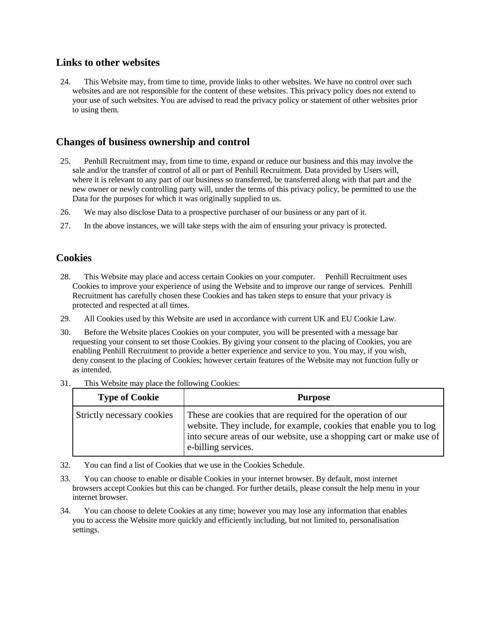#### **Links to other websites**

24. This Website may, from time to time, provide links to other websites. We have no control over such websites and are not responsible for the content of these websites. This privacy policy does not extend to your use of such websites. You are advised to read the privacy policy or statement of other websites prior to using them.

## **Changes of business ownership and control**

- 25. Penhill Recruitment may, from time to time, expand or reduce our business and this may involve the sale and/or the transfer of control of all or part of Penhill Recruitment. Data provided by Users will, where it is relevant to any part of our business so transferred, be transferred along with that part and the new owner or newly controlling party will, under the terms of this privacy policy, be permitted to use the Data for the purposes for which it was originally supplied to us.
- 26. We may also disclose Data to a prospective purchaser of our business or any part of it.
- 27. In the above instances, we will take steps with the aim of ensuring your privacy is protected.

#### **Cookies**

- 28. This Website may place and access certain Cookies on your computer. Penhill Recruitment uses Cookies to improve your experience of using the Website and to improve our range of services. Penhill Recruitment has carefully chosen these Cookies and has taken steps to ensure that your privacy is protected and respected at all times.
- 29. All Cookies used by this Website are used in accordance with current UK and EU Cookie Law.
- 30. Before the Website places Cookies on your computer, you will be presented with a message bar requesting your consent to set those Cookies. By giving your consent to the placing of Cookies, you are enabling Penhill Recruitment to provide a better experience and service to you. You may, if you wish, deny consent to the placing of Cookies; however certain features of the Website may not function fully or as intended.

| <b>Type of Cookie</b>      | <b>Purpose</b>                                                                                                                                                                                                                    |
|----------------------------|-----------------------------------------------------------------------------------------------------------------------------------------------------------------------------------------------------------------------------------|
| Strictly necessary cookies | These are cookies that are required for the operation of our<br>website. They include, for example, cookies that enable you to log<br>into secure areas of our website, use a shopping cart or make use of<br>e-billing services. |

31. This Website may place the following Cookies:

- 32. You can find a list of Cookies that we use in the Cookies Schedule.
- 33. You can choose to enable or disable Cookies in your internet browser. By default, most internet browsers accept Cookies but this can be changed. For further details, please consult the help menu in your internet browser.
- 34. You can choose to delete Cookies at any time; however you may lose any information that enables you to access the Website more quickly and efficiently including, but not limited to, personalisation settings.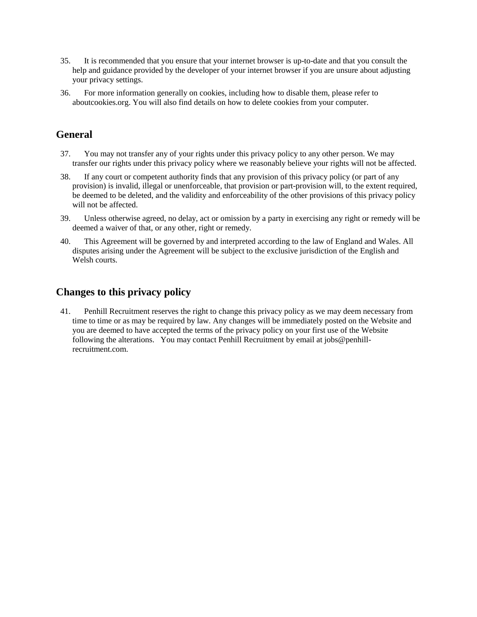- 35. It is recommended that you ensure that your internet browser is up-to-date and that you consult the help and guidance provided by the developer of your internet browser if you are unsure about adjusting your privacy settings.
- 36. For more information generally on cookies, including how to disable them, please refer to aboutcookies.org. You will also find details on how to delete cookies from your computer.

## **General**

- 37. You may not transfer any of your rights under this privacy policy to any other person. We may transfer our rights under this privacy policy where we reasonably believe your rights will not be affected.
- 38. If any court or competent authority finds that any provision of this privacy policy (or part of any provision) is invalid, illegal or unenforceable, that provision or part-provision will, to the extent required, be deemed to be deleted, and the validity and enforceability of the other provisions of this privacy policy will not be affected.
- 39. Unless otherwise agreed, no delay, act or omission by a party in exercising any right or remedy will be deemed a waiver of that, or any other, right or remedy.
- 40. This Agreement will be governed by and interpreted according to the law of England and Wales. All disputes arising under the Agreement will be subject to the exclusive jurisdiction of the English and Welsh courts.

## **Changes to this privacy policy**

41. Penhill Recruitment reserves the right to change this privacy policy as we may deem necessary from time to time or as may be required by law. Any changes will be immediately posted on the Website and you are deemed to have accepted the terms of the privacy policy on your first use of the Website following the alterations. You may contact Penhill Recruitment by email at jobs@penhillrecruitment.com.